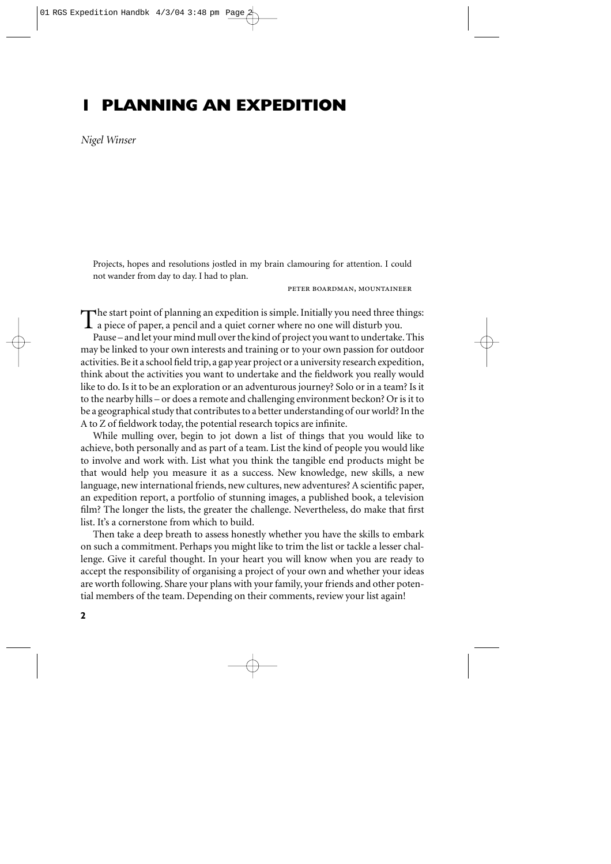# **1 PLANNING AN EXPEDITION**

*Nigel Winser*

Projects, hopes and resolutions jostled in my brain clamouring for attention. I could not wander from day to day. I had to plan.

peter boardman, mountaineer

The start point of planning an expedition is simple. Initially you need three things: a piece of paper, a pencil and a quiet corner where no one will disturb you.

Pause – and let your mind mull over the kind of project you want to undertake. This may be linked to your own interests and training or to your own passion for outdoor activities. Be it a school field trip, a gap year project or a university research expedition, think about the activities you want to undertake and the fieldwork you really would like to do. Is it to be an exploration or an adventurous journey? Solo or in a team? Is it to the nearby hills – or does a remote and challenging environment beckon? Or is it to be a geographical study that contributes to a better understanding of our world? In the A to Z of fieldwork today, the potential research topics are infinite.

While mulling over, begin to jot down a list of things that you would like to achieve, both personally and as part of a team. List the kind of people you would like to involve and work with. List what you think the tangible end products might be that would help you measure it as a success. New knowledge, new skills, a new language, new international friends, new cultures, new adventures? A scientific paper, an expedition report, a portfolio of stunning images, a published book, a television film? The longer the lists, the greater the challenge. Nevertheless, do make that first list. It's a cornerstone from which to build.

Then take a deep breath to assess honestly whether you have the skills to embark on such a commitment. Perhaps you might like to trim the list or tackle a lesser challenge. Give it careful thought. In your heart you will know when you are ready to accept the responsibility of organising a project of your own and whether your ideas are worth following. Share your plans with your family, your friends and other potential members of the team. Depending on their comments, review your list again!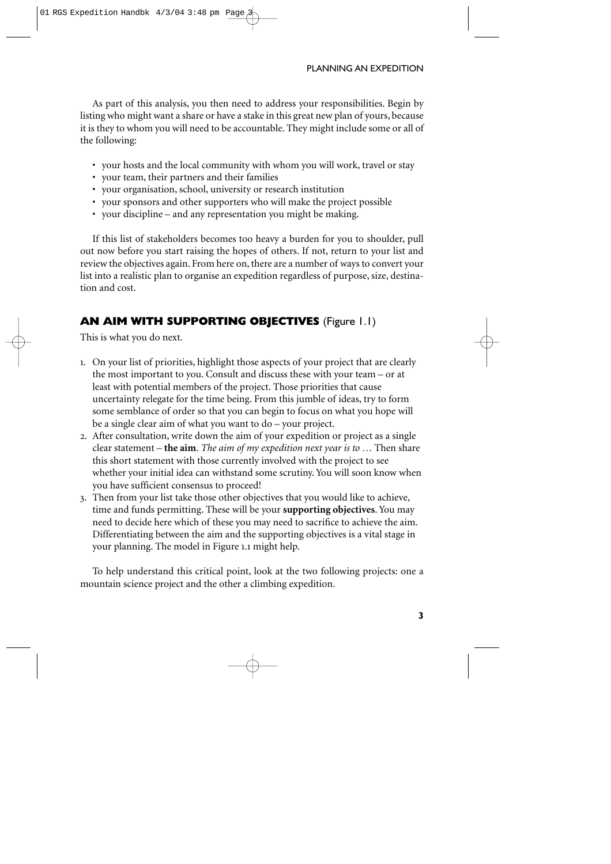#### PLANNING AN EXPEDITION

As part of this analysis, you then need to address your responsibilities. Begin by listing who might want a share or have a stake in this great new plan of yours, because it is they to whom you will need to be accountable. They might include some or all of the following:

- your hosts and the local community with whom you will work, travel or stay
- your team, their partners and their families
- your organisation, school, university or research institution
- your sponsors and other supporters who will make the project possible
- your discipline and any representation you might be making.

If this list of stakeholders becomes too heavy a burden for you to shoulder, pull out now before you start raising the hopes of others. If not, return to your list and review the objectives again. From here on, there are a number of ways to convert your list into a realistic plan to organise an expedition regardless of purpose, size, destination and cost.

# **AN AIM WITH SUPPORTING OBJECTIVES** (Figure 1.1)

This is what you do next.

- 1. On your list of priorities, highlight those aspects of your project that are clearly the most important to you. Consult and discuss these with your team – or at least with potential members of the project. Those priorities that cause uncertainty relegate for the time being. From this jumble of ideas, try to form some semblance of order so that you can begin to focus on what you hope will be a single clear aim of what you want to do – your project.
- 2. After consultation, write down the aim of your expedition or project as a single clear statement – **the aim**. *The aim of my expedition next year is to …* Then share this short statement with those currently involved with the project to see whether your initial idea can withstand some scrutiny. You will soon know when you have sufficient consensus to proceed!
- 3. Then from your list take those other objectives that you would like to achieve, time and funds permitting. These will be your **supporting objectives**. You may need to decide here which of these you may need to sacrifice to achieve the aim. Differentiating between the aim and the supporting objectives is a vital stage in your planning. The model in Figure 1.1 might help.

To help understand this critical point, look at the two following projects: one a mountain science project and the other a climbing expedition.

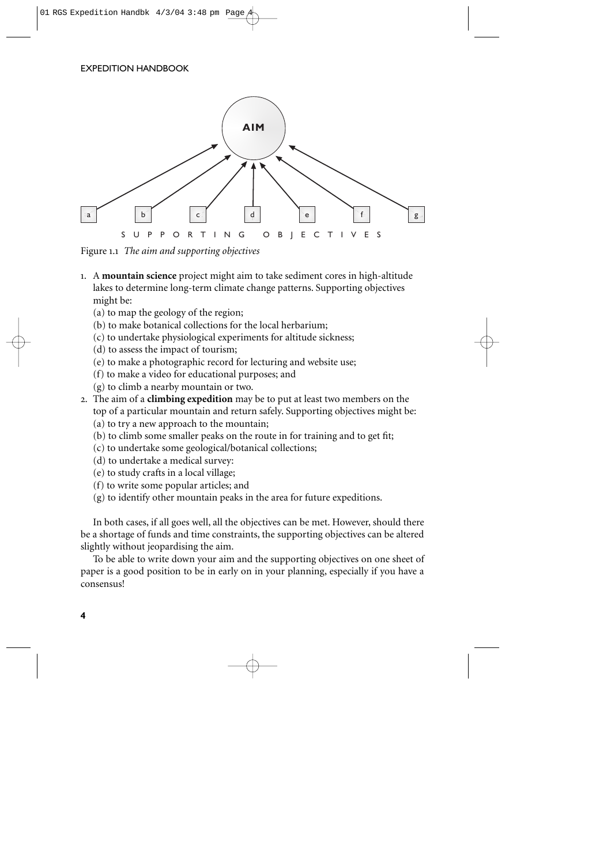



Figure 1.1 *The aim and supporting objectives*

- 1. A **mountain science** project might aim to take sediment cores in high-altitude lakes to determine long-term climate change patterns. Supporting objectives might be:
	- (a) to map the geology of the region;
	- (b) to make botanical collections for the local herbarium;
	- (c) to undertake physiological experiments for altitude sickness;
	- (d) to assess the impact of tourism;
	- (e) to make a photographic record for lecturing and website use;
	- (f) to make a video for educational purposes; and
	- (g) to climb a nearby mountain or two.
- 2. The aim of a **climbing expedition** may be to put at least two members on the top of a particular mountain and return safely. Supporting objectives might be:
	- (a) to try a new approach to the mountain;
	- (b) to climb some smaller peaks on the route in for training and to get fit;
	- (c) to undertake some geological/botanical collections;
	- (d) to undertake a medical survey:
	- (e) to study crafts in a local village;
	- (f) to write some popular articles; and
	- (g) to identify other mountain peaks in the area for future expeditions.

In both cases, if all goes well, all the objectives can be met. However, should there be a shortage of funds and time constraints, the supporting objectives can be altered slightly without jeopardising the aim.

To be able to write down your aim and the supporting objectives on one sheet of paper is a good position to be in early on in your planning, especially if you have a consensus!

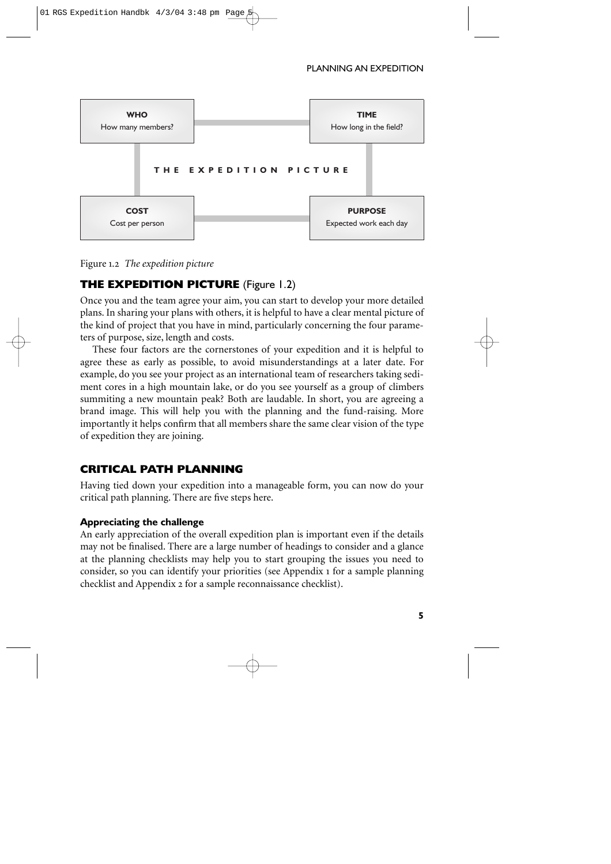#### PLANNING AN EXPEDITION



Figure 1.2 *The expedition picture*

## **THE EXPEDITION PICTURE** (Figure 1.2)

Once you and the team agree your aim, you can start to develop your more detailed plans. In sharing your plans with others, it is helpful to have a clear mental picture of the kind of project that you have in mind, particularly concerning the four parameters of purpose, size, length and costs.

These four factors are the cornerstones of your expedition and it is helpful to agree these as early as possible, to avoid misunderstandings at a later date. For example, do you see your project as an international team of researchers taking sediment cores in a high mountain lake, or do you see yourself as a group of climbers summiting a new mountain peak? Both are laudable. In short, you are agreeing a brand image. This will help you with the planning and the fund-raising. More importantly it helps confirm that all members share the same clear vision of the type of expedition they are joining.

# **CRITICAL PATH PLANNING**

Having tied down your expedition into a manageable form, you can now do your critical path planning. There are five steps here.

## **Appreciating the challenge**

An early appreciation of the overall expedition plan is important even if the details may not be finalised. There are a large number of headings to consider and a glance at the planning checklists may help you to start grouping the issues you need to consider, so you can identify your priorities (see Appendix 1 for a sample planning checklist and Appendix 2 for a sample reconnaissance checklist).

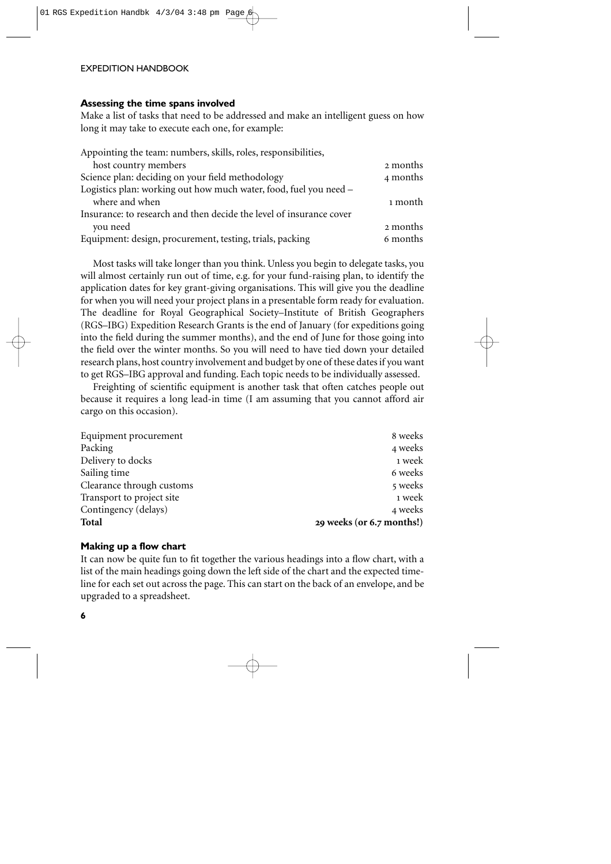#### EXPEDITION HANDBOOK

## **Assessing the time spans involved**

Make a list of tasks that need to be addressed and make an intelligent guess on how long it may take to execute each one, for example:

| Appointing the team: numbers, skills, roles, responsibilities,      |          |
|---------------------------------------------------------------------|----------|
| host country members                                                | 2 months |
| Science plan: deciding on your field methodology                    | 4 months |
| Logistics plan: working out how much water, food, fuel you need –   |          |
| where and when                                                      | 1 month  |
| Insurance: to research and then decide the level of insurance cover |          |
| you need                                                            | 2 months |
| Equipment: design, procurement, testing, trials, packing            | 6 months |
|                                                                     |          |

Most tasks will take longer than you think. Unless you begin to delegate tasks, you will almost certainly run out of time, e.g. for your fund-raising plan, to identify the application dates for key grant-giving organisations. This will give you the deadline for when you will need your project plans in a presentable form ready for evaluation. The deadline for Royal Geographical Society–Institute of British Geographers (RGS–IBG) Expedition Research Grants is the end of January (for expeditions going into the field during the summer months), and the end of June for those going into the field over the winter months. So you will need to have tied down your detailed research plans, host country involvement and budget by one of these dates if you want to get RGS–IBG approval and funding. Each topic needs to be individually assessed.

Freighting of scientific equipment is another task that often catches people out because it requires a long lead-in time (I am assuming that you cannot afford air cargo on this occasion).

| Equipment procurement      | 8 weeks                   |
|----------------------------|---------------------------|
| Packing                    | 4 weeks                   |
| Delivery to docks          | 1 week                    |
| Sailing time               | 6 weeks                   |
| Clearance through customs  | 5 weeks                   |
| Transport to project site. | 1 week                    |
| Contingency (delays)       | 4 weeks                   |
| <b>Total</b>               | 29 weeks (or 6.7 months!) |

#### **Making up a flow chart**

It can now be quite fun to fit together the various headings into a flow chart, with a list of the main headings going down the left side of the chart and the expected timeline for each set out across the page. This can start on the back of an envelope, and be upgraded to a spreadsheet.